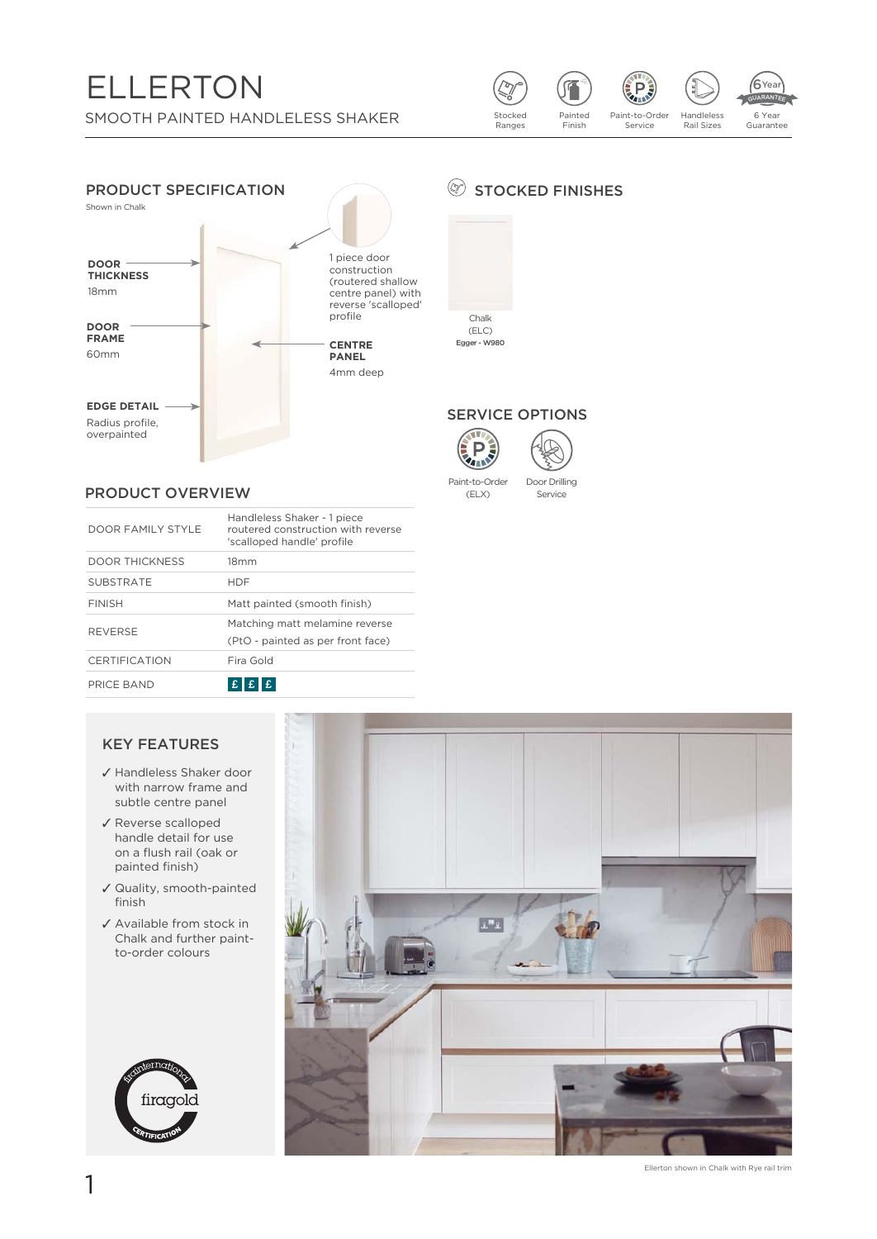# **ELLERTON**

SMOOTH PAINTED HANDLELESS SHAKER





#### PRODUCT OVERVIEW

| DOOR FAMILY STYLE     | Handleless Shaker - 1 piece<br>routered construction with reverse<br>'scalloped handle' profile |
|-----------------------|-------------------------------------------------------------------------------------------------|
| <b>DOOR THICKNESS</b> | 18 <sub>mm</sub>                                                                                |
| <b>SUBSTRATE</b>      | <b>HDF</b>                                                                                      |
| <b>FINISH</b>         | Matt painted (smooth finish)                                                                    |
| <b>REVERSE</b>        | Matching matt melamine reverse<br>(PtO - painted as per front face)                             |
| <b>CERTIFICATION</b>  | Fira Gold                                                                                       |
| PRICE BAND            |                                                                                                 |

#### **KEY FEATURES**

- ✔ Handleless Shaker door with narrow frame and subtle centre panel
- ✔ Reverse scalloped handle detail for use on a flush rail (oak or painted finish)
- √ Quality, smooth-painted finish
- ✔ Available from stock in Chalk and further paintto-order colours





## STOCKED FINISHES





Service

**AND** 

Paint-to-Order Door Drilling (ELX)

Ellerton shown in Chalk with Rye rail trim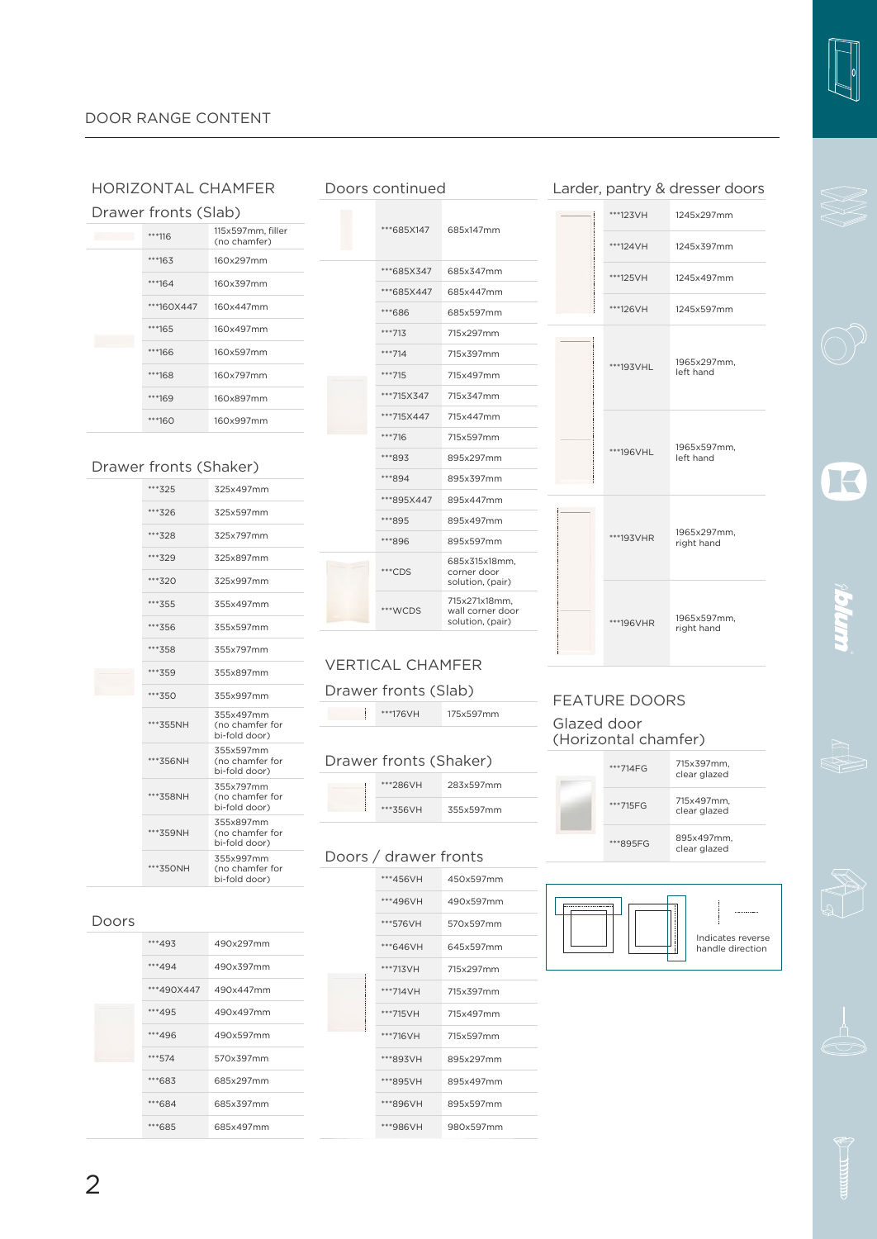#### HORIZONTAL CHAMFER

| Drawer fronts (Slab) |                                   |
|----------------------|-----------------------------------|
| ***116               | 115x597mm, filler<br>(no chamfer) |
| ***163               | 160x297mm                         |
| $***164$             | 160x397mm                         |
| ***160X447           | 160x447mm                         |
| ***165               | 160x497mm                         |
| ***166               | 160x597mm                         |
| ***168               | 160x797mm                         |
| ***169               | 160x897mm                         |
| ***160               | 160x997mm                         |

#### Drawer fronts (Shaker)

|  | ***325   | 325x497mm                                     |
|--|----------|-----------------------------------------------|
|  | ***326   | 325x597mm                                     |
|  | *** 328  | 325x797mm                                     |
|  | ***329   | 325x897mm                                     |
|  | *** 320  | 325x997mm                                     |
|  | *** 355  | 355x497mm                                     |
|  | ***356   | 355x597mm                                     |
|  | ***358   | 355x797mm                                     |
|  | *** 359  | 355x897mm                                     |
|  | *** 350  | 355x997mm                                     |
|  | ***355NH | 355x497mm<br>(no chamfer for<br>bi-fold door) |
|  | ***356NH | 355x597mm<br>(no chamfer for<br>bi-fold door) |
|  | ***358NH | 355x797mm<br>(no chamfer for<br>bi-fold door) |
|  | ***359NH | 355x897mm<br>(no chamfer for<br>bi-fold door) |
|  | ***350NH | 355x997mm<br>(no chamfer for<br>bi-fold door) |

\*\*\*493 490x297mm \*\*\*494 490x397mm \*\*\*490X447 490x447mm \*\*\*495 490x497mm \*\*\*496 490x597mm \*\*\*574 570x397mm \*\*\*683 685x297mm ĵĵĵćĉą 685x397mm \*\*\*685 685x497mm

| Doors continued |            |                                                       |  |  |
|-----------------|------------|-------------------------------------------------------|--|--|
|                 | ***685X147 | 685x147mm                                             |  |  |
|                 | ***685X347 | 685x347mm                                             |  |  |
|                 | ***685X447 | 685x447mm                                             |  |  |
|                 | ***686     | 685x597mm                                             |  |  |
|                 | ***713     | 715x297mm                                             |  |  |
|                 | $***714$   | 715x397mm                                             |  |  |
|                 | ***715     | 715x497mm                                             |  |  |
|                 | ***715X347 | 715x347mm                                             |  |  |
|                 | ***715X447 | 715x447mm                                             |  |  |
|                 | ***716     | 715x597mm                                             |  |  |
|                 | ***893     | 895x297mm                                             |  |  |
|                 | ***894     | 895x397mm                                             |  |  |
|                 | ***895X447 | 895x447mm                                             |  |  |
|                 | ***895     | 895x497mm                                             |  |  |
|                 | ***896     | 895x597mm                                             |  |  |
|                 | ***CDS     | 685x315x18mm,<br>corner door<br>solution, (pair)      |  |  |
|                 | ***WCDS    | 715x271x18mm,<br>wall corner door<br>solution, (pair) |  |  |

#### VERTICAL CHAMFER

#### Drawer fronts (Slab)

**\*\*\*176VH** 175x597mm

#### Drawer fronts (Shaker)

| ***286VH | 283x597mm |
|----------|-----------|
| ***356VH | 355x597mm |

#### Doors / drawer fronts

| ***456VH | 450x597mm |
|----------|-----------|
| ***496VH | 490x597mm |
| ***576VH | 570x597mm |
| ***646VH | 645x597mm |
| ***713VH | 715x297mm |
| ***714VH | 715x397mm |
| ***715VH | 715x497mm |
| ***716VH | 715x597mm |
| ***893VH | 895x297mm |
| ***895VH | 895x497mm |
| ***896VH | 895x597mm |
| ***986VH | 980x597mm |

#### Larder, pantry & dresser doors  $\frac{1}{1245x297}$ mm

| ***124VH      | 1245x397mm                |
|---------------|---------------------------|
| ***125VH      | 1245x497mm                |
| ***126VH      | 1245x597mm                |
| ***193VHL     | 1965x297mm,<br>left hand  |
| ***196VHL     | 1965x597mm,<br>left hand  |
| ***193VHR     | 1965x297mm,<br>right hand |
| <br>***196VHR | 1965x597mm,<br>right hand |

FEATURE DOORS

(Horizontal chamfer)

ĵĵĵĈāą 715x397mm, clear glazed

 $***715FG$   $715x497mm$ 

 $***895FG$   $895x497mm$ 

clear glazed

clear glazed

Indicates reverse handle direction

Glazed door



E





Doors

2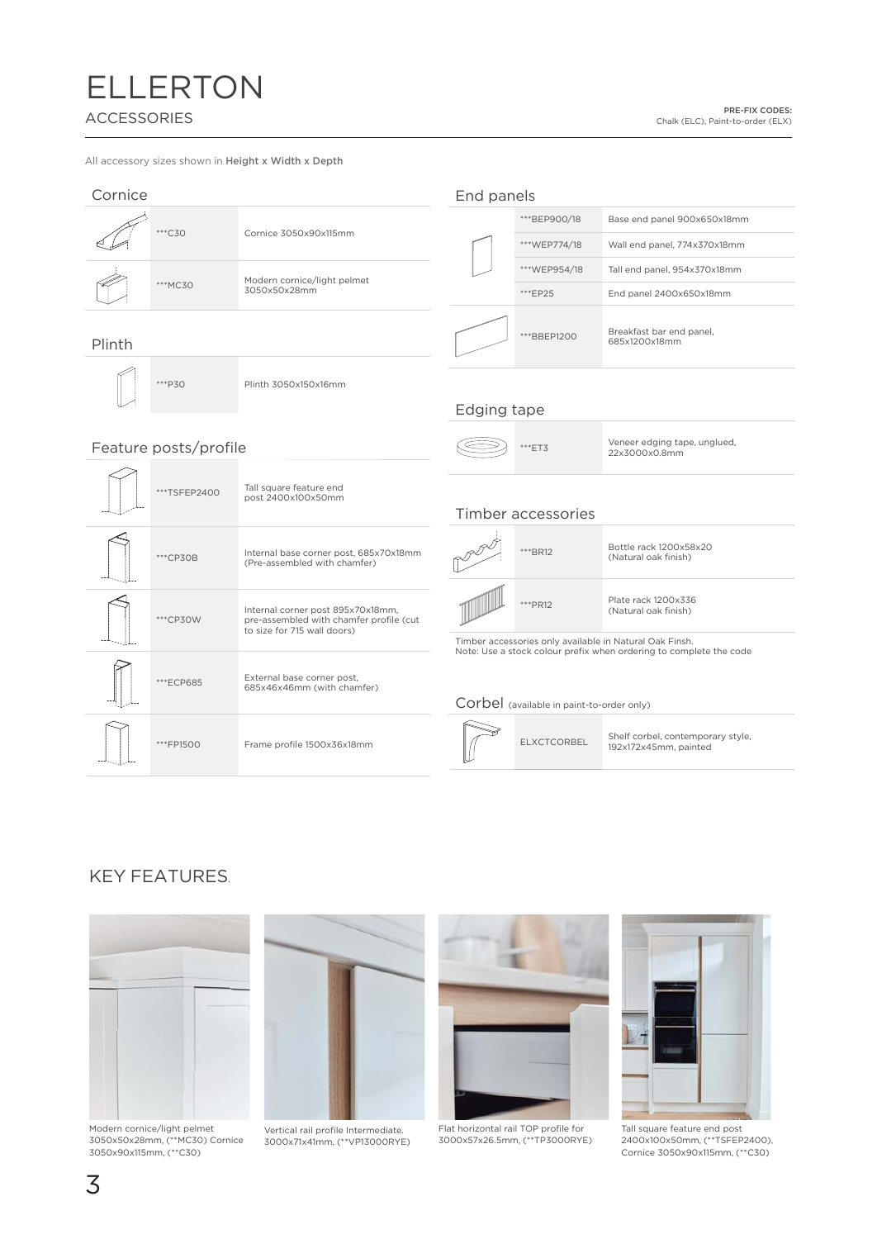# **ELLERTON ACCESSORIES**

PRE-FIX CODES: Chalk (ELC), Paint-to-order (ELX)

All accessory sizes shown in Height x Width x Depth

| Cornice                     |              |                                                                                                             | End panels                                |                                               |                                                                                                                               |
|-----------------------------|--------------|-------------------------------------------------------------------------------------------------------------|-------------------------------------------|-----------------------------------------------|-------------------------------------------------------------------------------------------------------------------------------|
|                             |              |                                                                                                             |                                           | ***BEP900/18                                  | Base end panel 900x650x18mm                                                                                                   |
|                             | ***C30       | Cornice 3050x90x115mm                                                                                       |                                           | ***WEP774/18                                  | Wall end panel, 774x370x18mm                                                                                                  |
| Modern cornice/light pelmet |              | ***WEP954/18                                                                                                | Tall end panel, 954x370x18mm              |                                               |                                                                                                                               |
|                             | ***MC30      | 3050x50x28mm                                                                                                |                                           | ***EP25                                       | End panel 2400x650x18mm                                                                                                       |
| Plinth                      |              |                                                                                                             |                                           | *** BBFP1200                                  | Breakfast bar end panel,<br>685x1200x18mm                                                                                     |
|                             | ***P30       | Plinth 3050x150x16mm                                                                                        | Edging tape                               |                                               |                                                                                                                               |
|                             |              |                                                                                                             |                                           |                                               |                                                                                                                               |
| Feature posts/profile       |              |                                                                                                             | ***ET3                                    | Veneer edging tape, unglued,<br>22x3000x0.8mm |                                                                                                                               |
|                             | ***TSFEP2400 | Tall square feature end<br>post 2400x100x50mm                                                               |                                           | Timber accessories                            |                                                                                                                               |
|                             | ***CP30B     | Internal base corner post, 685x70x18mm<br>(Pre-assembled with chamfer)                                      |                                           | ***BR12                                       | Bottle rack 1200x58x20<br>(Natural oak finish)                                                                                |
|                             | ***CP30W     | Internal corner post 895x70x18mm,<br>pre-assembled with chamfer profile (cut<br>to size for 715 wall doors) |                                           | ***PR12                                       | Plate rack 1200x336<br>(Natural oak finish)                                                                                   |
|                             |              |                                                                                                             |                                           |                                               | Timber accessories only available in Natural Oak Finsh.<br>Note: Use a stock colour prefix when ordering to complete the code |
|                             | ***ECP685    | External base corner post,<br>685x46x46mm (with chamfer)                                                    | Corbel (available in paint-to-order only) |                                               |                                                                                                                               |
|                             | ***FP1500    | Frame profile 1500x36x18mm                                                                                  |                                           | <b>ELXCTCORBEL</b>                            | Shelf corbel, contemporary style,<br>192x172x45mm, painted                                                                    |

### **KEY FEATURES.**



Modern cornice/light pelmet<br>3050x50x28mm, (\*\*MC30) Cornice<br>3050x90x115mm, (\*\*C30)



Vertical rail profile Intermediate. 3000x71x41mm, (\*\*VP13000RYE)



Flat horizontal rail TOP profile for<br>3000x57x26.5mm, (\*\*TP3000RYE)



Tall square feature end post<br>2400x100x50mm, (\*\*TSFEP2400),<br>Cornice 3050x90x115mm, (\*\*C30)